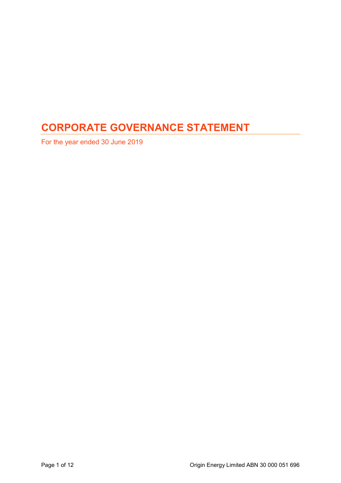# CORPORATE GOVERNANCE STATEMENT

For the year ended 30 June 2019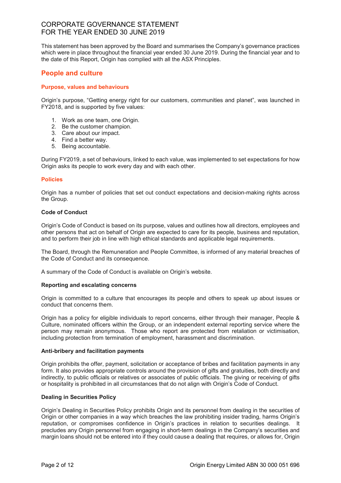This statement has been approved by the Board and summarises the Company's governance practices which were in place throughout the financial year ended 30 June 2019. During the financial year and to the date of this Report, Origin has complied with all the ASX Principles.

# People and culture

# Purpose, values and behaviours

Origin's purpose, "Getting energy right for our customers, communities and planet", was launched in FY2018, and is supported by five values:

- 1. Work as one team, one Origin.
- 2. Be the customer champion.
- 3. Care about our impact.
- 4. Find a better way.
- 5. Being accountable.

During FY2019, a set of behaviours, linked to each value, was implemented to set expectations for how Origin asks its people to work every day and with each other.

### **Policies**

Origin has a number of policies that set out conduct expectations and decision-making rights across the Group.

### Code of Conduct

Origin's Code of Conduct is based on its purpose, values and outlines how all directors, employees and other persons that act on behalf of Origin are expected to care for its people, business and reputation, and to perform their job in line with high ethical standards and applicable legal requirements.

The Board, through the Remuneration and People Committee, is informed of any material breaches of the Code of Conduct and its consequence.

A summary of the Code of Conduct is available on Origin's website.

### Reporting and escalating concerns

Origin is committed to a culture that encourages its people and others to speak up about issues or conduct that concerns them.

Origin has a policy for eligible individuals to report concerns, either through their manager, People & Culture, nominated officers within the Group, or an independent external reporting service where the person may remain anonymous. Those who report are protected from retaliation or victimisation, including protection from termination of employment, harassment and discrimination.

### Anti-bribery and facilitation payments

Origin prohibits the offer, payment, solicitation or acceptance of bribes and facilitation payments in any form. It also provides appropriate controls around the provision of gifts and gratuities, both directly and indirectly, to public officials or relatives or associates of public officials. The giving or receiving of gifts or hospitality is prohibited in all circumstances that do not align with Origin's Code of Conduct.

### Dealing in Securities Policy

Origin's Dealing in Securities Policy prohibits Origin and its personnel from dealing in the securities of Origin or other companies in a way which breaches the law prohibiting insider trading, harms Origin's reputation, or compromises confidence in Origin's practices in relation to securities dealings. It precludes any Origin personnel from engaging in short-term dealings in the Company's securities and margin loans should not be entered into if they could cause a dealing that requires, or allows for, Origin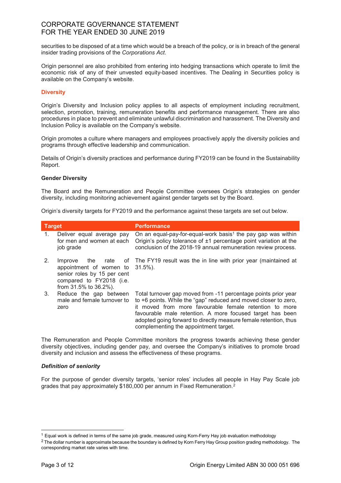securities to be disposed of at a time which would be a breach of the policy, or is in breach of the general insider trading provisions of the Corporations Act.

Origin personnel are also prohibited from entering into hedging transactions which operate to limit the economic risk of any of their unvested equity-based incentives. The Dealing in Securities policy is available on the Company's website.

# **Diversity**

Origin's Diversity and Inclusion policy applies to all aspects of employment including recruitment, selection, promotion, training, remuneration benefits and performance management. There are also procedures in place to prevent and eliminate unlawful discrimination and harassment. The Diversity and Inclusion Policy is available on the Company's website.

Origin promotes a culture where managers and employees proactively apply the diversity policies and programs through effective leadership and communication.

Details of Origin's diversity practices and performance during FY2019 can be found in the Sustainability Report.

### Gender Diversity

The Board and the Remuneration and People Committee oversees Origin's strategies on gender diversity, including monitoring achievement against gender targets set by the Board.

Origin's diversity targets for FY2019 and the performance against these targets are set out below.

| <b>Target</b> |                                                                                                                                | <b>Performance</b>                                                                                                                                                                                                                                                                                                                                                    |
|---------------|--------------------------------------------------------------------------------------------------------------------------------|-----------------------------------------------------------------------------------------------------------------------------------------------------------------------------------------------------------------------------------------------------------------------------------------------------------------------------------------------------------------------|
| $1_{\cdot}$   | Deliver equal average pay<br>for men and women at each<br>job grade                                                            | On an equal-pay-for-equal-work basis <sup>1</sup> the pay gap was within<br>Origin's policy tolerance of ±1 percentage point variation at the<br>conclusion of the 2018-19 annual remuneration review process.                                                                                                                                                        |
| 2.            | Improve<br>appointment of women to 31.5%).<br>senior roles by 15 per cent<br>compared to FY2018 (i.e.<br>from 31.5% to 36.2%). | the rate of The FY19 result was the in line with prior year (maintained at                                                                                                                                                                                                                                                                                            |
| 3.            | Reduce the gap between<br>male and female turnover to<br>zero                                                                  | Total turnover gap moved from -11 percentage points prior year<br>to +6 points. While the "gap" reduced and moved closer to zero,<br>it moved from more favourable female retention to more<br>favourable male retention. A more focused target has been<br>adopted going forward to directly measure female retention, thus<br>complementing the appointment target. |

The Remuneration and People Committee monitors the progress towards achieving these gender diversity objectives, including gender pay, and oversee the Company's initiatives to promote broad diversity and inclusion and assess the effectiveness of these programs.

### Definition of seniority

For the purpose of gender diversity targets, 'senior roles' includes all people in Hay Pay Scale job grades that pay approximately \$180,000 per annum in Fixed Remuneration.<sup>2</sup>

-

<sup>&</sup>lt;sup>1</sup> Equal work is defined in terms of the same job grade, measured using Korn-Ferry Hay job evaluation methodology

 $^2$  The dollar number is approximate because the boundary is defined by Korn Ferry Hay Group position grading methodology. The corresponding market rate varies with time.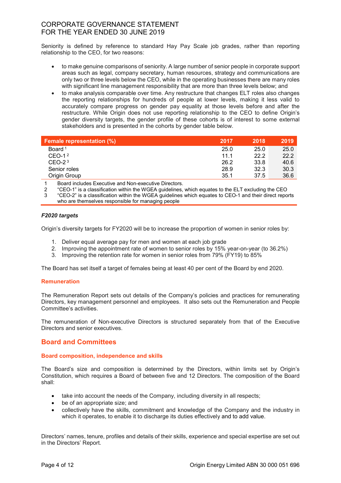Seniority is defined by reference to standard Hay Pay Scale job grades, rather than reporting relationship to the CEO, for two reasons:

- to make genuine comparisons of seniority. A large number of senior people in corporate support areas such as legal, company secretary, human resources, strategy and communications are only two or three levels below the CEO, while in the operating businesses there are many roles with significant line management responsibility that are more than three levels below; and
- to make analysis comparable over time. Any restructure that changes ELT roles also changes the reporting relationships for hundreds of people at lower levels, making it less valid to accurately compare progress on gender pay equality at those levels before and after the restructure. While Origin does not use reporting relationship to the CEO to define Origin's gender diversity targets, the gender profile of these cohorts is of interest to some external stakeholders and is presented in the cohorts by gender table below.

| <b>Female representation (%)</b> | 2017 | 2018 | 2019 |
|----------------------------------|------|------|------|
| Board <sup>1</sup>               | 25.0 | 25.0 | 25.0 |
| $CEO-12$                         | 11.1 | 22.2 | 22.2 |
| $CEO-23$                         | 26.2 | 33.8 | 40.6 |
| Senior roles                     | 28.9 | 32.3 | 30.3 |
| Origin Group                     | 35.1 | 37.5 | 36.6 |

1 Board includes Executive and Non-executive Directors.

2 "CEO-1" is a classification within the WGEA guidelines, which equates to the ELT excluding the CEO

3 "CEO-2" is a classification within the WGEA guidelines which equates to CEO-1 and their direct reports who are themselves responsible for managing people

# F2020 targets

Origin's diversity targets for FY2020 will be to increase the proportion of women in senior roles by:

- 1. Deliver equal average pay for men and women at each job grade
- 2. Improving the appointment rate of women to senior roles by 15% year-on-year (to 36.2%)
- 3. Improving the retention rate for women in senior roles from 79% (FY19) to 85%

The Board has set itself a target of females being at least 40 per cent of the Board by end 2020.

# Remuneration

The Remuneration Report sets out details of the Company's policies and practices for remunerating Directors, key management personnel and employees. It also sets out the Remuneration and People Committee's activities.

The remuneration of Non-executive Directors is structured separately from that of the Executive Directors and senior executives.

# Board and Committees

# Board composition, independence and skills

The Board's size and composition is determined by the Directors, within limits set by Origin's Constitution, which requires a Board of between five and 12 Directors. The composition of the Board shall:

- take into account the needs of the Company, including diversity in all respects;
- be of an appropriate size; and
- collectively have the skills, commitment and knowledge of the Company and the industry in which it operates, to enable it to discharge its duties effectively and to add value.

Directors' names, tenure, profiles and details of their skills, experience and special expertise are set out in the Directors' Report.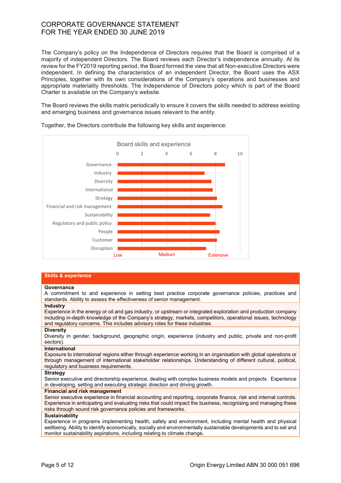The Company's policy on the Independence of Directors requires that the Board is comprised of a majority of independent Directors. The Board reviews each Director's independence annually. At its review for the FY2019 reporting period, the Board formed the view that all Non-executive Directors were independent. In defining the characteristics of an independent Director, the Board uses the ASX Principles, together with its own considerations of the Company's operations and businesses and appropriate materiality thresholds. The Independence of Directors policy which is part of the Board Charter is available on the Company's website.

The Board reviews the skills matrix periodically to ensure it covers the skills needed to address existing and emerging business and governance issues relevant to the entity.



Together, the Directors contribute the following key skills and experience:

#### Skills & experience

#### **Governance**

A commitment to and experience in setting best practice corporate governance policies, practices and standards. Ability to assess the effectiveness of senior management.

#### **Industry**

Experience in the energy or oil and gas industry, or upstream or integrated exploration and production company including in-depth knowledge of the Company's strategy, markets, competitors, operational issues, technology and regulatory concerns. This includes advisory roles for these industries.

#### **Diversity**

Diversity in gender, background, geographic origin, experience (industry and public, private and non-profit sectors).

#### **International**

Exposure to international regions either through experience working in an organisation with global operations or through management of international stakeholder relationships. Understanding of different cultural, political, regulatory and business requirements.

#### **Strategy**

Senior executive and directorship experience, dealing with complex business models and projects. Experience in developing, setting and executing strategic direction and driving growth.

#### Financial and risk management

Senior executive experience in financial accounting and reporting, corporate finance, risk and internal controls. Experience in anticipating and evaluating risks that could impact the business, recognising and managing these risks through sound risk governance policies and frameworks.

#### **Sustainability**

Experience in programs implementing health, safety and environment, including mental health and physical wellbeing. Ability to identify economically, socially and environmentally sustainable developments and to set and monitor sustainability aspirations, including relating to climate change.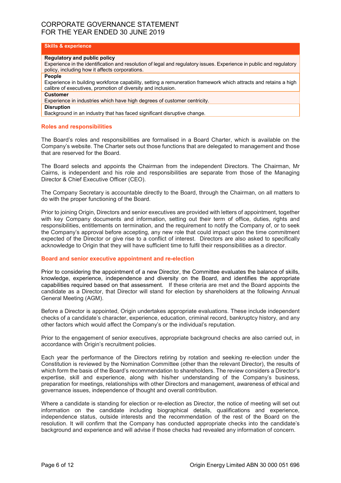# Skills & experience

#### Regulatory and public policy

Experience in the identification and resolution of legal and regulatory issues. Experience in public and regulatory policy, including how it affects corporations.

#### People

Experience in building workforce capability, setting a remuneration framework which attracts and retains a high calibre of executives, promotion of diversity and inclusion.

#### Customer

Experience in industries which have high degrees of customer centricity.

#### Disruption

Background in an industry that has faced significant disruptive change.

### Roles and responsibilities

The Board's roles and responsibilities are formalised in a Board Charter, which is available on the Company's website. The Charter sets out those functions that are delegated to management and those that are reserved for the Board.

The Board selects and appoints the Chairman from the independent Directors. The Chairman, Mr Cairns, is independent and his role and responsibilities are separate from those of the Managing Director & Chief Executive Officer (CEO).

The Company Secretary is accountable directly to the Board, through the Chairman, on all matters to do with the proper functioning of the Board.

Prior to joining Origin, Directors and senior executives are provided with letters of appointment, together with key Company documents and information, setting out their term of office, duties, rights and responsibilities, entitlements on termination, and the requirement to notify the Company of, or to seek the Company's approval before accepting, any new role that could impact upon the time commitment expected of the Director or give rise to a conflict of interest. Directors are also asked to specifically acknowledge to Origin that they will have sufficient time to fulfil their responsibilities as a director.

# Board and senior executive appointment and re-election

Prior to considering the appointment of a new Director, the Committee evaluates the balance of skills, knowledge, experience, independence and diversity on the Board, and identifies the appropriate capabilities required based on that assessment. If these criteria are met and the Board appoints the candidate as a Director, that Director will stand for election by shareholders at the following Annual General Meeting (AGM).

Before a Director is appointed, Origin undertakes appropriate evaluations. These include independent checks of a candidate's character, experience, education, criminal record, bankruptcy history, and any other factors which would affect the Company's or the individual's reputation.

Prior to the engagement of senior executives, appropriate background checks are also carried out, in accordance with Origin's recruitment policies.

Each year the performance of the Directors retiring by rotation and seeking re-election under the Constitution is reviewed by the Nomination Committee (other than the relevant Director), the results of which form the basis of the Board's recommendation to shareholders. The review considers a Director's expertise, skill and experience, along with his/her understanding of the Company's business, preparation for meetings, relationships with other Directors and management, awareness of ethical and governance issues, independence of thought and overall contribution.

Where a candidate is standing for election or re-election as Director, the notice of meeting will set out information on the candidate including biographical details, qualifications and experience, independence status, outside interests and the recommendation of the rest of the Board on the resolution. It will confirm that the Company has conducted appropriate checks into the candidate's background and experience and will advise if those checks had revealed any information of concern.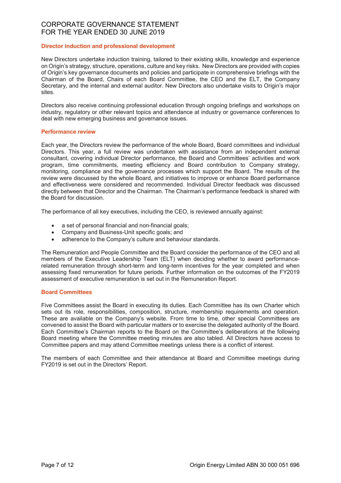# Director induction and professional development

New Directors undertake induction training, tailored to their existing skills, knowledge and experience on Origin's strategy, structure, operations, culture and key risks. New Directors are provided with copies of Origin's key governance documents and policies and participate in comprehensive briefings with the Chairman of the Board, Chairs of each Board Committee, the CEO and the ELT, the Company Secretary, and the internal and external auditor. New Directors also undertake visits to Origin's major sites.

Directors also receive continuing professional education through ongoing briefings and workshops on industry, regulatory or other relevant topics and attendance at industry or governance conferences to deal with new emerging business and governance issues.

# Performance review

Each year, the Directors review the performance of the whole Board, Board committees and individual Directors. This year, a full review was undertaken with assistance from an independent external consultant, covering individual Director performance, the Board and Committees' activities and work program, time commitments, meeting efficiency and Board contribution to Company strategy, monitoring, compliance and the governance processes which support the Board. The results of the review were discussed by the whole Board, and initiatives to improve or enhance Board performance and effectiveness were considered and recommended. Individual Director feedback was discussed directly between that Director and the Chairman. The Chairman's performance feedback is shared with the Board for discussion.

The performance of all key executives, including the CEO, is reviewed annually against:

- a set of personal financial and non-financial goals;
- Company and Business-Unit specific goals; and
- adherence to the Company's culture and behaviour standards.

The Remuneration and People Committee and the Board consider the performance of the CEO and all members of the Executive Leadership Team (ELT) when deciding whether to award performancerelated remuneration through short-term and long-term incentives for the year completed and when assessing fixed remuneration for future periods. Further information on the outcomes of the FY2019 assessment of executive remuneration is set out in the Remuneration Report.

### Board Committees

Five Committees assist the Board in executing its duties. Each Committee has its own Charter which sets out its role, responsibilities, composition, structure, membership requirements and operation. These are available on the Company's website. From time to time, other special Committees are convened to assist the Board with particular matters or to exercise the delegated authority of the Board. Each Committee's Chairman reports to the Board on the Committee's deliberations at the following Board meeting where the Committee meeting minutes are also tabled. All Directors have access to Committee papers and may attend Committee meetings unless there is a conflict of interest.

The members of each Committee and their attendance at Board and Committee meetings during FY2019 is set out in the Directors' Report.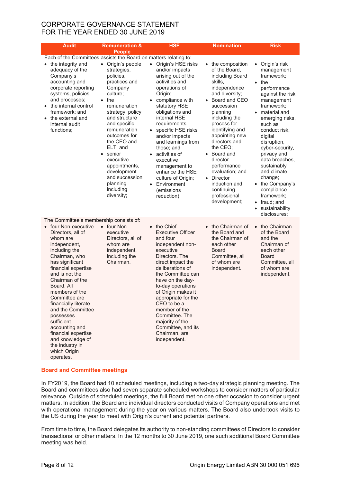| <b>Audit</b>                                                                                                                                                                                                                                                                                                                                                                                                                                                            | <b>Remuneration &amp;</b>                                                                                                                                                                                                                                                                                                                                       | <b>HSE</b>                                                                                                                                                                                                                                                                                                                                                                                                                                                         | <b>Nomination</b>                                                                                                                                                                                                                                                                                                                                                                                    | <b>Risk</b>                                                                                                                                                                                                                                                                                                                                                                                                                                     |
|-------------------------------------------------------------------------------------------------------------------------------------------------------------------------------------------------------------------------------------------------------------------------------------------------------------------------------------------------------------------------------------------------------------------------------------------------------------------------|-----------------------------------------------------------------------------------------------------------------------------------------------------------------------------------------------------------------------------------------------------------------------------------------------------------------------------------------------------------------|--------------------------------------------------------------------------------------------------------------------------------------------------------------------------------------------------------------------------------------------------------------------------------------------------------------------------------------------------------------------------------------------------------------------------------------------------------------------|------------------------------------------------------------------------------------------------------------------------------------------------------------------------------------------------------------------------------------------------------------------------------------------------------------------------------------------------------------------------------------------------------|-------------------------------------------------------------------------------------------------------------------------------------------------------------------------------------------------------------------------------------------------------------------------------------------------------------------------------------------------------------------------------------------------------------------------------------------------|
| Each of the Committees assists the Board on matters relating to:<br>• the integrity and<br>adequacy of the<br>Company's<br>accounting and<br>corporate reporting<br>systems, policies<br>and processes;<br>$\bullet$<br>• the internal control<br>framework; and<br>• the external and<br>internal audit<br>functions;                                                                                                                                                  | <b>People</b><br>• Origin's people<br>strategies,<br>policies,<br>practices and<br>Company<br>culture;<br>the<br>remuneration<br>strategy, policy<br>and structure<br>and specific<br>remuneration<br>outcomes for<br>the CEO and<br>ELT; and<br>• senior<br>executive<br>appointments,<br>development<br>and succession<br>planning<br>including<br>diversity; | Origin's HSE risks<br>$\bullet$<br>and/or impacts<br>arising out of the<br>activities and<br>operations of<br>Origin;<br>compliance with<br>$\bullet$<br>statutory HSE<br>obligations and<br>internal HSE<br>requirements<br>specific HSE risks<br>$\bullet$<br>and/or impacts<br>and learnings from<br>those; and<br>activities of<br>executive<br>management to<br>enhance the HSE<br>culture of Origin;<br>Environment<br>$\bullet$<br>(emissions<br>reduction) | the composition<br>$\bullet$<br>of the Board.<br>including Board<br>skills,<br>independence<br>and diversity;<br>Board and CEO<br>succession<br>planning<br>including the<br>process for<br>identifying and<br>appointing new<br>directors and<br>the CEO;<br>• Board and<br>director<br>performance<br>evaluation; and<br>• Director<br>induction and<br>continuing<br>professional<br>development; | Origin's risk<br>$\bullet$<br>management<br>framework;<br>the<br>$\bullet$<br>performance<br>against the risk<br>management<br>framework;<br>• material and<br>emerging risks,<br>such as<br>conduct risk,<br>digital<br>disruption,<br>cyber-security,<br>privacy and<br>data breaches,<br>sustainably<br>and climate<br>change;<br>• the Company's<br>compliance<br>framework;<br>• fraud; and<br>sustainability<br>$\bullet$<br>disclosures; |
| The Committee's membership consists of:<br>• four Non-executive<br>Directors, all of<br>whom are<br>independent,<br>including the<br>Chairman, who<br>has significant<br>financial expertise<br>and is not the<br>Chairman of the<br>Board, All<br>members of the<br>Committee are<br>financially literate<br>and the Committee<br>possesses<br>sufficient<br>accounting and<br>financial expertise<br>and knowledge of<br>the industry in<br>which Origin<br>operates. | • four Non-<br>executive<br>Directors, all of<br>whom are<br>independent,<br>including the<br>Chairman.                                                                                                                                                                                                                                                         | • the Chief<br><b>Executive Officer</b><br>and four<br>independent non-<br>executive<br>Directors. The<br>direct impact the<br>deliberations of<br>the Committee can<br>have on the day-<br>to-day operations<br>of Origin makes it<br>appropriate for the<br>CEO to be a<br>member of the<br>Committee. The<br>majority of the<br>Committee, and its<br>Chairman, are<br>independent.                                                                             | • the Chairman of<br>the Board and<br>the Chairman of<br>each other<br><b>Board</b><br>Committee, all<br>of whom are<br>independent.                                                                                                                                                                                                                                                                 | the Chairman<br>$\bullet$<br>of the Board<br>and the<br>Chairman of<br>each other<br><b>Board</b><br>Committee, all<br>of whom are<br>independent.                                                                                                                                                                                                                                                                                              |

# Board and Committee meetings

In FY2019, the Board had 10 scheduled meetings, including a two-day strategic planning meeting. The Board and committees also had seven separate scheduled workshops to consider matters of particular relevance. Outside of scheduled meetings, the full Board met on one other occasion to consider urgent matters. In addition, the Board and individual directors conducted visits of Company operations and met with operational management during the year on various matters. The Board also undertook visits to the US during the year to meet with Origin's current and potential partners.

From time to time, the Board delegates its authority to non-standing committees of Directors to consider transactional or other matters. In the 12 months to 30 June 2019, one such additional Board Committee meeting was held.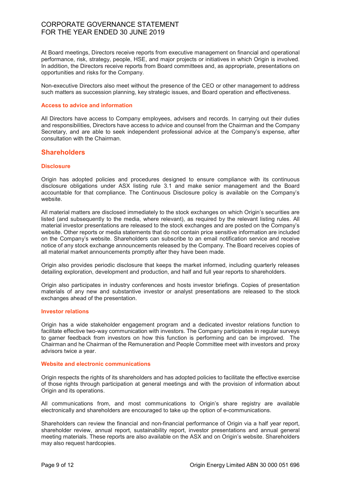At Board meetings, Directors receive reports from executive management on financial and operational performance, risk, strategy, people, HSE, and major projects or initiatives in which Origin is involved. In addition, the Directors receive reports from Board committees and, as appropriate, presentations on opportunities and risks for the Company.

Non-executive Directors also meet without the presence of the CEO or other management to address such matters as succession planning, key strategic issues, and Board operation and effectiveness.

#### Access to advice and information

All Directors have access to Company employees, advisers and records. In carrying out their duties and responsibilities, Directors have access to advice and counsel from the Chairman and the Company Secretary, and are able to seek independent professional advice at the Company's expense, after consultation with the Chairman.

# **Shareholders**

#### **Disclosure**

Origin has adopted policies and procedures designed to ensure compliance with its continuous disclosure obligations under ASX listing rule 3.1 and make senior management and the Board accountable for that compliance. The Continuous Disclosure policy is available on the Company's website.

All material matters are disclosed immediately to the stock exchanges on which Origin's securities are listed (and subsequently to the media, where relevant), as required by the relevant listing rules. All material investor presentations are released to the stock exchanges and are posted on the Company's website. Other reports or media statements that do not contain price sensitive information are included on the Company's website. Shareholders can subscribe to an email notification service and receive notice of any stock exchange announcements released by the Company. The Board receives copies of all material market announcements promptly after they have been made.

Origin also provides periodic disclosure that keeps the market informed, including quarterly releases detailing exploration, development and production, and half and full year reports to shareholders.

Origin also participates in industry conferences and hosts investor briefings. Copies of presentation materials of any new and substantive investor or analyst presentations are released to the stock exchanges ahead of the presentation.

### Investor relations

Origin has a wide stakeholder engagement program and a dedicated investor relations function to facilitate effective two-way communication with investors. The Company participates in regular surveys to garner feedback from investors on how this function is performing and can be improved. The Chairman and he Chairman of the Remuneration and People Committee meet with investors and proxy advisors twice a year.

### Website and electronic communications

Origin respects the rights of its shareholders and has adopted policies to facilitate the effective exercise of those rights through participation at general meetings and with the provision of information about Origin and its operations.

All communications from, and most communications to Origin's share registry are available electronically and shareholders are encouraged to take up the option of e-communications.

Shareholders can review the financial and non-financial performance of Origin via a half year report, shareholder review, annual report, sustainability report, investor presentations and annual general meeting materials. These reports are also available on the ASX and on Origin's website. Shareholders may also request hardcopies.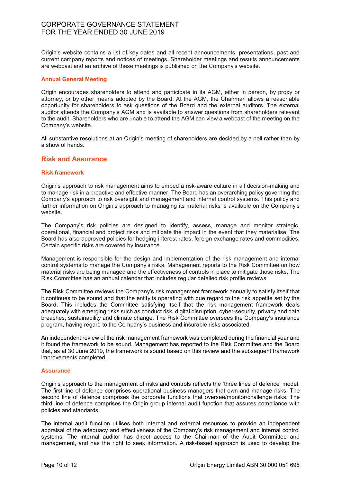Origin's website contains a list of key dates and all recent announcements, presentations, past and current company reports and notices of meetings. Shareholder meetings and results announcements are webcast and an archive of these meetings is published on the Company's website.

### Annual General Meeting

Origin encourages shareholders to attend and participate in its AGM, either in person, by proxy or attorney, or by other means adopted by the Board. At the AGM, the Chairman allows a reasonable opportunity for shareholders to ask questions of the Board and the external auditors. The external auditor attends the Company's AGM and is available to answer questions from shareholders relevant to the audit. Shareholders who are unable to attend the AGM can view a webcast of the meeting on the Company's website.

All substantive resolutions at an Origin's meeting of shareholders are decided by a poll rather than by a show of hands.

# Risk and Assurance

### Risk framework

Origin's approach to risk management aims to embed a risk-aware culture in all decision-making and to manage risk in a proactive and effective manner. The Board has an overarching policy governing the Company's approach to risk oversight and management and internal control systems. This policy and further information on Origin's approach to managing its material risks is available on the Company's website.

The Company's risk policies are designed to identify, assess, manage and monitor strategic, operational, financial and project risks and mitigate the impact in the event that they materialise. The Board has also approved policies for hedging interest rates, foreign exchange rates and commodities. Certain specific risks are covered by insurance.

Management is responsible for the design and implementation of the risk management and internal control systems to manage the Company's risks. Management reports to the Risk Committee on how material risks are being managed and the effectiveness of controls in place to mitigate those risks. The Risk Committee has an annual calendar that includes regular detailed risk profile reviews.

The Risk Committee reviews the Company's risk management framework annually to satisfy itself that it continues to be sound and that the entity is operating with due regard to the risk appetite set by the Board. This includes the Committee satisfying itself that the risk management framework deals adequately with emerging risks such as conduct risk, digital disruption, cyber-security, privacy and data breaches, sustainability and climate change. The Risk Committee oversees the Company's insurance program, having regard to the Company's business and insurable risks associated.

An independent review of the risk management framework was completed during the financial year and it found the framework to be sound. Management has reported to the Risk Committee and the Board that, as at 30 June 2019, the framework is sound based on this review and the subsequent framework improvements completed.

### **Assurance**

Origin's approach to the management of risks and controls reflects the 'three lines of defence' model. The first line of defence comprises operational business managers that own and manage risks. The second line of defence comprises the corporate functions that oversee/monitor/challenge risks. The third line of defence comprises the Origin group internal audit function that assures compliance with policies and standards.

The internal audit function utilises both internal and external resources to provide an independent appraisal of the adequacy and effectiveness of the Company's risk management and internal control systems. The internal auditor has direct access to the Chairman of the Audit Committee and management, and has the right to seek information. A risk-based approach is used to develop the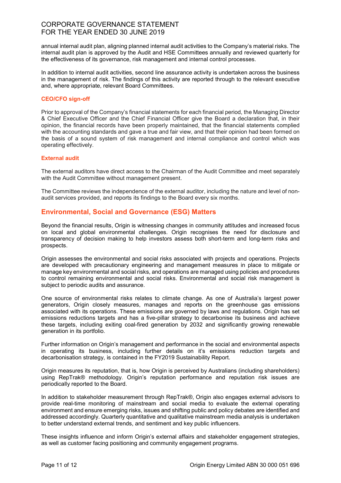annual internal audit plan, aligning planned internal audit activities to the Company's material risks. The internal audit plan is approved by the Audit and HSE Committees annually and reviewed quarterly for the effectiveness of its governance, risk management and internal control processes.

In addition to internal audit activities, second line assurance activity is undertaken across the business in the management of risk. The findings of this activity are reported through to the relevant executive and, where appropriate, relevant Board Committees.

# CEO/CFO sign-off

Prior to approval of the Company's financial statements for each financial period, the Managing Director & Chief Executive Officer and the Chief Financial Officer give the Board a declaration that, in their opinion, the financial records have been properly maintained, that the financial statements complied with the accounting standards and gave a true and fair view, and that their opinion had been formed on the basis of a sound system of risk management and internal compliance and control which was operating effectively.

# External audit

The external auditors have direct access to the Chairman of the Audit Committee and meet separately with the Audit Committee without management present.

The Committee reviews the independence of the external auditor, including the nature and level of nonaudit services provided, and reports its findings to the Board every six months.

# Environmental, Social and Governance (ESG) Matters

Beyond the financial results, Origin is witnessing changes in community attitudes and increased focus on local and global environmental challenges. Origin recognises the need for disclosure and transparency of decision making to help investors assess both short-term and long-term risks and prospects.

Origin assesses the environmental and social risks associated with projects and operations. Projects are developed with precautionary engineering and management measures in place to mitigate or manage key environmental and social risks, and operations are managed using policies and procedures to control remaining environmental and social risks. Environmental and social risk management is subject to periodic audits and assurance.

One source of environmental risks relates to climate change. As one of Australia's largest power generators, Origin closely measures, manages and reports on the greenhouse gas emissions associated with its operations. These emissions are governed by laws and regulations. Origin has set emissions reductions targets and has a five-pillar strategy to decarbonise its business and achieve these targets, including exiting coal-fired generation by 2032 and significantly growing renewable generation in its portfolio.

Further information on Origin's management and performance in the social and environmental aspects in operating its business, including further details on it's emissions reduction targets and decarbonisation strategy, is contained in the FY2019 Sustainability Report.

Origin measures its reputation, that is, how Origin is perceived by Australians (including shareholders) using RepTrak® methodology. Origin's reputation performance and reputation risk issues are periodically reported to the Board.

In addition to stakeholder measurement through RepTrak®, Origin also engages external advisors to provide real-time monitoring of mainstream and social media to evaluate the external operating environment and ensure emerging risks, issues and shifting public and policy debates are identified and addressed accordingly. Quarterly quantitative and qualitative mainstream media analysis is undertaken to better understand external trends, and sentiment and key public influencers.

These insights influence and inform Origin's external affairs and stakeholder engagement strategies, as well as customer facing positioning and community engagement programs.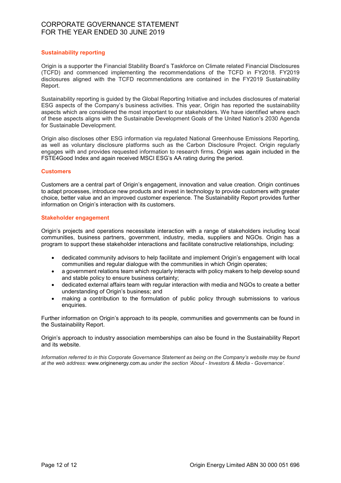# Sustainability reporting

Origin is a supporter the Financial Stability Board's Taskforce on Climate related Financial Disclosures (TCFD) and commenced implementing the recommendations of the TCFD in FY2018. FY2019 disclosures aligned with the TCFD recommendations are contained in the FY2019 Sustainability Report.

Sustainability reporting is guided by the Global Reporting Initiative and includes disclosures of material ESG aspects of the Company's business activities. This year, Origin has reported the sustainability aspects which are considered the most important to our stakeholders. We have identified where each of these aspects aligns with the Sustainable Development Goals of the United Nation's 2030 Agenda for Sustainable Development.

Origin also discloses other ESG information via regulated National Greenhouse Emissions Reporting, as well as voluntary disclosure platforms such as the Carbon Disclosure Project. Origin regularly engages with and provides requested information to research firms. Origin was again included in the FSTE4Good Index and again received MSCI ESG's AA rating during the period.

# **Customers**

Customers are a central part of Origin's engagement, innovation and value creation. Origin continues to adapt processes, introduce new products and invest in technology to provide customers with greater choice, better value and an improved customer experience. The Sustainability Report provides further information on Origin's interaction with its customers.

### Stakeholder engagement

Origin's projects and operations necessitate interaction with a range of stakeholders including local communities, business partners, government, industry, media, suppliers and NGOs. Origin has a program to support these stakeholder interactions and facilitate constructive relationships, including:

- dedicated community advisors to help facilitate and implement Origin's engagement with local communities and regular dialogue with the communities in which Origin operates;
- a government relations team which regularly interacts with policy makers to help develop sound and stable policy to ensure business certainty;
- dedicated external affairs team with regular interaction with media and NGOs to create a better understanding of Origin's business; and
- making a contribution to the formulation of public policy through submissions to various enquiries.

Further information on Origin's approach to its people, communities and governments can be found in the Sustainability Report.

Origin's approach to industry association memberships can also be found in the Sustainability Report and its website.

Information referred to in this Corporate Governance Statement as being on the Company's website may be found at the web address: www.originenergy.com.au under the section 'About - Investors & Media - Governance'.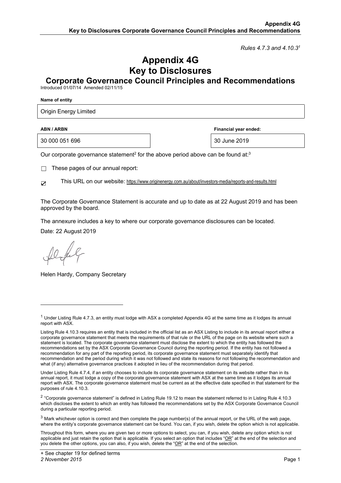*Rules 4.7.3 and 4.10.31*

# **Appendix 4G Key to Disclosures**

**Corporate Governance Council Principles and Recommendations**

Introduced 01/07/14 Amended 02/11/15

**Name of entity** 

Origin Energy Limited

30 000 051 696 30 June 2019

**ABN / ARBN ARBN Financial year ended: Financial year ended:** 

Our corporate governance statement<sup>2</sup> for the above period above can be found at:<sup>3</sup>

 $\Box$  These pages of our annual report:

☑ This URL on our website: https://www.originenergy.com.au/about/investors-media/reports-and-results.html

The Corporate Governance Statement is accurate and up to date as at 22 August 2019 and has been approved by the board.

The annexure includes a key to where our corporate governance disclosures can be located.

Date: 22 August 2019

1

Helen Hardy, Company Secretary

 $1$  Under Listing Rule 4.7.3, an entity must lodge with ASX a completed Appendix 4G at the same time as it lodges its annual report with ASX.

Listing Rule 4.10.3 requires an entity that is included in the official list as an ASX Listing to include in its annual report either a corporate governance statement that meets the requirements of that rule or the URL of the page on its website where such a statement is located. The corporate governance statement must disclose the extent to which the entity has followed the recommendations set by the ASX Corporate Governance Council during the reporting period. If the entity has not followed a recommendation for any part of the reporting period, its corporate governance statement must separately identify that recommendation and the period during which it was not followed and state its reasons for not following the recommendation and what (if any) alternative governance practices it adopted in lieu of the recommendation during that period.

Under Listing Rule 4.7.4, if an entity chooses to include its corporate governance statement on its website rather than in its annual report, it must lodge a copy of the corporate governance statement with ASX at the same time as it lodges its annual report with ASX. The corporate governance statement must be current as at the effective date specified in that statement for the purposes of rule 4.10.3.

 $2$  "Corporate governance statement" is defined in Listing Rule 19.12 to mean the statement referred to in Listing Rule 4.10.3 which discloses the extent to which an entity has followed the recommendations set by the ASX Corporate Governance Council during a particular reporting period.

 $3$  Mark whichever option is correct and then complete the page number(s) of the annual report, or the URL of the web page, where the entity's corporate governance statement can be found. You can, if you wish, delete the option which is not applicable.

Throughout this form, where you are given two or more options to select, you can, if you wish, delete any option which is not applicable and just retain the option that is applicable. If you select an option that includes "OR" at the end of the selection and you delete the other options, you can also, if you wish, delete the "OR" at the end of the selection.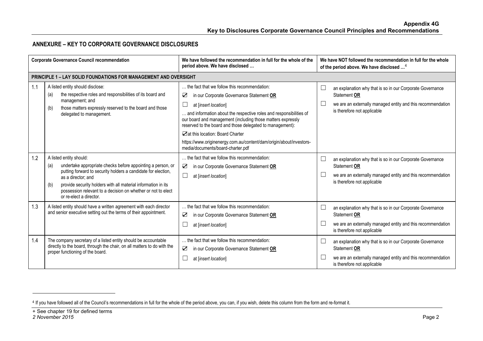# **ANNEXURE – KEY TO CORPORATE GOVERNANCE DISCLOSURES**

| <b>Corporate Governance Council recommendation</b> |                                                                                                                                                                                                                                                                                                                                                         | We have followed the recommendation in full for the whole of the<br>period above. We have disclosed                                                                                                                                                                                                                                                                                                                                                                     | We have NOT followed the recommendation in full for the whole<br>of the period above. We have disclosed <sup>4</sup>                                                    |
|----------------------------------------------------|---------------------------------------------------------------------------------------------------------------------------------------------------------------------------------------------------------------------------------------------------------------------------------------------------------------------------------------------------------|-------------------------------------------------------------------------------------------------------------------------------------------------------------------------------------------------------------------------------------------------------------------------------------------------------------------------------------------------------------------------------------------------------------------------------------------------------------------------|-------------------------------------------------------------------------------------------------------------------------------------------------------------------------|
|                                                    | <b>PRINCIPLE 1 - LAY SOLID FOUNDATIONS FOR MANAGEMENT AND OVERSIGHT</b>                                                                                                                                                                                                                                                                                 |                                                                                                                                                                                                                                                                                                                                                                                                                                                                         |                                                                                                                                                                         |
| 1.1                                                | A listed entity should disclose:<br>the respective roles and responsibilities of its board and<br>(a)<br>management; and<br>those matters expressly reserved to the board and those<br>(b)<br>delegated to management.                                                                                                                                  | the fact that we follow this recommendation:<br>☑<br>in our Corporate Governance Statement OR<br>at [insert location]<br>and information about the respective roles and responsibilities of<br>our board and management (including those matters expressly<br>reserved to the board and those delegated to management):<br>Art this location: Board Charter<br>https://www.originenergy.com.au/content/dam/origin/about/investors-<br>media/documents/board-charter.pdf | an explanation why that is so in our Corporate Governance<br>Statement OR<br>we are an externally managed entity and this recommendation<br>is therefore not applicable |
| 1.2                                                | A listed entity should:<br>undertake appropriate checks before appointing a person, or<br>(a)<br>putting forward to security holders a candidate for election,<br>as a director; and<br>provide security holders with all material information in its<br>(b)<br>possession relevant to a decision on whether or not to elect<br>or re-elect a director. | the fact that we follow this recommendation:<br>☑<br>in our Corporate Governance Statement OR<br>$\Box$<br>at [insert location]                                                                                                                                                                                                                                                                                                                                         | an explanation why that is so in our Corporate Governance<br>Statement OR<br>we are an externally managed entity and this recommendation<br>is therefore not applicable |
| 1.3                                                | A listed entity should have a written agreement with each director<br>and senior executive setting out the terms of their appointment.                                                                                                                                                                                                                  | the fact that we follow this recommendation:<br>☑<br>in our Corporate Governance Statement OR<br>at [insert location]                                                                                                                                                                                                                                                                                                                                                   | an explanation why that is so in our Corporate Governance<br>Statement OR<br>we are an externally managed entity and this recommendation<br>is therefore not applicable |
| 1.4                                                | The company secretary of a listed entity should be accountable<br>directly to the board, through the chair, on all matters to do with the<br>proper functioning of the board.                                                                                                                                                                           | the fact that we follow this recommendation:<br>☑<br>in our Corporate Governance Statement OR<br>at [insert location]                                                                                                                                                                                                                                                                                                                                                   | an explanation why that is so in our Corporate Governance<br>Statement OR<br>we are an externally managed entity and this recommendation<br>is therefore not applicable |

<sup>4</sup> If you have followed all of the Council's recommendations in full for the whole of the period above, you can, if you wish, delete this column from the form and re-format it.

<sup>+</sup> See chapter 19 for defined terms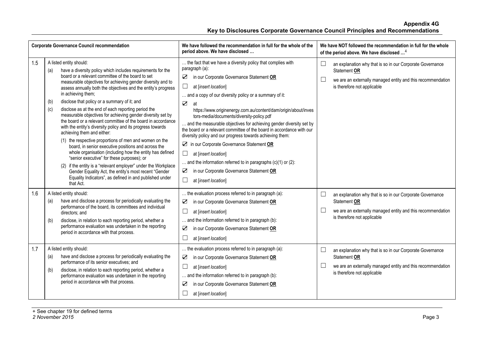| <b>Corporate Governance Council recommendation</b> |                                                                                                                                                                                                                                                                                                                                                                                                                                                                                                                                                                                                                                                                                                                                                                                                                                                                                                                                                                                                                                                                                         | We have followed the recommendation in full for the whole of the<br>period above. We have disclosed                                                                                                                                                                                                                                                                                                                                                                                                                                                                                                                                                                                                                                                                                                                   | We have NOT followed the recommendation in full for the whole<br>of the period above. We have disclosed <sup>4</sup>                                                                        |
|----------------------------------------------------|-----------------------------------------------------------------------------------------------------------------------------------------------------------------------------------------------------------------------------------------------------------------------------------------------------------------------------------------------------------------------------------------------------------------------------------------------------------------------------------------------------------------------------------------------------------------------------------------------------------------------------------------------------------------------------------------------------------------------------------------------------------------------------------------------------------------------------------------------------------------------------------------------------------------------------------------------------------------------------------------------------------------------------------------------------------------------------------------|-----------------------------------------------------------------------------------------------------------------------------------------------------------------------------------------------------------------------------------------------------------------------------------------------------------------------------------------------------------------------------------------------------------------------------------------------------------------------------------------------------------------------------------------------------------------------------------------------------------------------------------------------------------------------------------------------------------------------------------------------------------------------------------------------------------------------|---------------------------------------------------------------------------------------------------------------------------------------------------------------------------------------------|
| 1.5                                                | A listed entity should:<br>have a diversity policy which includes requirements for the<br>(a)<br>board or a relevant committee of the board to set<br>measurable objectives for achieving gender diversity and to<br>assess annually both the objectives and the entity's progress<br>in achieving them;<br>disclose that policy or a summary of it; and<br>(b)<br>disclose as at the end of each reporting period the<br>(c)<br>measurable objectives for achieving gender diversity set by<br>the board or a relevant committee of the board in accordance<br>with the entity's diversity policy and its progress towards<br>achieving them and either:<br>(1) the respective proportions of men and women on the<br>board, in senior executive positions and across the<br>whole organisation (including how the entity has defined<br>"senior executive" for these purposes); or<br>(2) if the entity is a "relevant employer" under the Workplace<br>Gender Equality Act, the entity's most recent "Gender<br>Equality Indicators", as defined in and published under<br>that Act. | the fact that we have a diversity policy that complies with<br>paragraph (a):<br>in our Corporate Governance Statement OR<br>☑<br>$\sqcup$<br>at [insert location]<br>and a copy of our diversity policy or a summary of it:<br>$\sum$<br>at<br>https://www.originenergy.com.au/content/dam/origin/about/inves<br>tors-media/documents/diversity-policy.pdf<br>and the measurable objectives for achieving gender diversity set by<br>the board or a relevant committee of the board in accordance with our<br>diversity policy and our progress towards achieving them:<br>In our Corporate Governance Statement OR<br>$\Box$<br>at [insert location]<br>and the information referred to in paragraphs $(c)(1)$ or $(2)$ :<br>in our Corporate Governance Statement OR<br>$\sum$<br>$\sqcup$<br>at [insert location] | $\Box$<br>an explanation why that is so in our Corporate Governance<br>Statement OR<br>we are an externally managed entity and this recommendation<br>is therefore not applicable           |
| 1.6                                                | A listed entity should:<br>have and disclose a process for periodically evaluating the<br>(a)<br>performance of the board, its committees and individual<br>directors; and<br>disclose, in relation to each reporting period, whether a<br>(b)<br>performance evaluation was undertaken in the reporting<br>period in accordance with that process.                                                                                                                                                                                                                                                                                                                                                                                                                                                                                                                                                                                                                                                                                                                                     | the evaluation process referred to in paragraph (a):<br>in our Corporate Governance Statement OR<br>$\sum$<br>at [insert location]<br>and the information referred to in paragraph (b):<br>☑<br>in our Corporate Governance Statement OR<br>at [insert location]                                                                                                                                                                                                                                                                                                                                                                                                                                                                                                                                                      | an explanation why that is so in our Corporate Governance<br>$\Box$<br>Statement OR<br>$\Box$<br>we are an externally managed entity and this recommendation<br>is therefore not applicable |
| 1.7                                                | A listed entity should:<br>have and disclose a process for periodically evaluating the<br>(a)<br>performance of its senior executives; and<br>(b)<br>disclose, in relation to each reporting period, whether a<br>performance evaluation was undertaken in the reporting<br>period in accordance with that process.                                                                                                                                                                                                                                                                                                                                                                                                                                                                                                                                                                                                                                                                                                                                                                     | the evaluation process referred to in paragraph (a):<br>in our Corporate Governance Statement OR<br>☑<br>at [insert location]<br>and the information referred to in paragraph (b):<br>☑<br>in our Corporate Governance Statement OR<br>at [insert location]                                                                                                                                                                                                                                                                                                                                                                                                                                                                                                                                                           | $\Box$<br>an explanation why that is so in our Corporate Governance<br>Statement OR<br>we are an externally managed entity and this recommendation<br>is therefore not applicable           |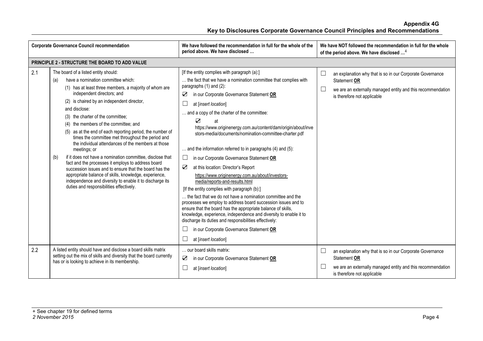| <b>Corporate Governance Council recommendation</b> |                                                                                                                                                                                                                                                                                                                                                                                                                                                                                                                                                                                                                                                                                                                                                                                                                                                                     | We have followed the recommendation in full for the whole of the<br>period above. We have disclosed                                                                                                                                                                                                                                                                                                                                                                                                                                                                                                                                                                                                                                                                                                                                                                                                                                                                                                                                                                                                     | We have NOT followed the recommendation in full for the whole<br>of the period above. We have disclosed <sup>4</sup>                                                                   |
|----------------------------------------------------|---------------------------------------------------------------------------------------------------------------------------------------------------------------------------------------------------------------------------------------------------------------------------------------------------------------------------------------------------------------------------------------------------------------------------------------------------------------------------------------------------------------------------------------------------------------------------------------------------------------------------------------------------------------------------------------------------------------------------------------------------------------------------------------------------------------------------------------------------------------------|---------------------------------------------------------------------------------------------------------------------------------------------------------------------------------------------------------------------------------------------------------------------------------------------------------------------------------------------------------------------------------------------------------------------------------------------------------------------------------------------------------------------------------------------------------------------------------------------------------------------------------------------------------------------------------------------------------------------------------------------------------------------------------------------------------------------------------------------------------------------------------------------------------------------------------------------------------------------------------------------------------------------------------------------------------------------------------------------------------|----------------------------------------------------------------------------------------------------------------------------------------------------------------------------------------|
|                                                    | PRINCIPLE 2 - STRUCTURE THE BOARD TO ADD VALUE                                                                                                                                                                                                                                                                                                                                                                                                                                                                                                                                                                                                                                                                                                                                                                                                                      |                                                                                                                                                                                                                                                                                                                                                                                                                                                                                                                                                                                                                                                                                                                                                                                                                                                                                                                                                                                                                                                                                                         |                                                                                                                                                                                        |
| 2.1                                                | The board of a listed entity should:<br>have a nomination committee which:<br>(a)<br>(1) has at least three members, a majority of whom are<br>independent directors; and<br>(2) is chaired by an independent director,<br>and disclose:<br>(3) the charter of the committee;<br>(4) the members of the committee; and<br>(5) as at the end of each reporting period, the number of<br>times the committee met throughout the period and<br>the individual attendances of the members at those<br>meetings; or<br>if it does not have a nomination committee, disclose that<br>(b)<br>fact and the processes it employs to address board<br>succession issues and to ensure that the board has the<br>appropriate balance of skills, knowledge, experience,<br>independence and diversity to enable it to discharge its<br>duties and responsibilities effectively. | [If the entity complies with paragraph (a):]<br>the fact that we have a nomination committee that complies with<br>paragraphs (1) and (2):<br>in our Corporate Governance Statement OR<br>☑<br>at linsert location]<br>and a copy of the charter of the committee:<br>☑<br>at<br>https://www.originenergy.com.au/content/dam/origin/about/inve<br>stors-media/documents/nomination-committee-charter.pdf<br>and the information referred to in paragraphs (4) and (5):<br>in our Corporate Governance Statement OR<br>☑<br>at this location: Director's Report<br>https://www.originenergy.com.au/about/investors-<br>media/reports-and-results.html<br>[If the entity complies with paragraph (b):]<br>the fact that we do not have a nomination committee and the<br>processes we employ to address board succession issues and to<br>ensure that the board has the appropriate balance of skills,<br>knowledge, experience, independence and diversity to enable it to<br>discharge its duties and responsibilities effectively:<br>in our Corporate Governance Statement OR<br>at [insert location] | ⊔<br>an explanation why that is so in our Corporate Governance<br>Statement OR<br>└<br>we are an externally managed entity and this recommendation<br>is therefore not applicable      |
| 2.2                                                | A listed entity should have and disclose a board skills matrix<br>setting out the mix of skills and diversity that the board currently<br>has or is looking to achieve in its membership.                                                                                                                                                                                                                                                                                                                                                                                                                                                                                                                                                                                                                                                                           | our board skills matrix:<br>☑<br>in our Corporate Governance Statement OR<br>at [insert location]                                                                                                                                                                                                                                                                                                                                                                                                                                                                                                                                                                                                                                                                                                                                                                                                                                                                                                                                                                                                       | $\Box$<br>an explanation why that is so in our Corporate Governance<br>Statement OR<br>L<br>we are an externally managed entity and this recommendation<br>is therefore not applicable |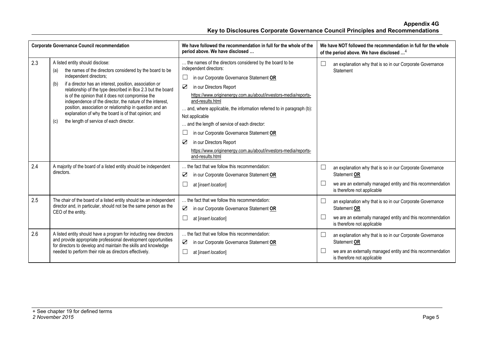| <b>Corporate Governance Council recommendation</b> |                                                                                                                                                                                                                                                                                                                                                                                                                                                                                                                                                        | We have followed the recommendation in full for the whole of the<br>period above. We have disclosed                                                                                                                                                                                                                                                                                                                                                                                                                                                             |                               | We have NOT followed the recommendation in full for the whole<br>of the period above. We have disclosed <sup>4</sup>                                                    |
|----------------------------------------------------|--------------------------------------------------------------------------------------------------------------------------------------------------------------------------------------------------------------------------------------------------------------------------------------------------------------------------------------------------------------------------------------------------------------------------------------------------------------------------------------------------------------------------------------------------------|-----------------------------------------------------------------------------------------------------------------------------------------------------------------------------------------------------------------------------------------------------------------------------------------------------------------------------------------------------------------------------------------------------------------------------------------------------------------------------------------------------------------------------------------------------------------|-------------------------------|-------------------------------------------------------------------------------------------------------------------------------------------------------------------------|
| 2.3                                                | A listed entity should disclose:<br>the names of the directors considered by the board to be<br>(a)<br>independent directors;<br>if a director has an interest, position, association or<br>(b)<br>relationship of the type described in Box 2.3 but the board<br>is of the opinion that it does not compromise the<br>independence of the director, the nature of the interest,<br>position, association or relationship in question and an<br>explanation of why the board is of that opinion; and<br>the length of service of each director.<br>(c) | the names of the directors considered by the board to be<br>independent directors:<br>in our Corporate Governance Statement OR<br>☑<br>in our Directors Report<br>https://www.originenergy.com.au/about/investors-media/reports-<br>and-results.html<br>and, where applicable, the information referred to in paragraph (b):<br>Not applicable<br>and the length of service of each director:<br>in our Corporate Governance Statement OR<br>☑<br>in our Directors Report<br>https://www.originenergy.com.au/about/investors-media/reports-<br>and-results.html | $\Box$                        | an explanation why that is so in our Corporate Governance<br>Statement                                                                                                  |
| 2.4                                                | A majority of the board of a listed entity should be independent<br>directors.                                                                                                                                                                                                                                                                                                                                                                                                                                                                         | the fact that we follow this recommendation:<br>☑<br>in our Corporate Governance Statement OR<br>at [insert location]                                                                                                                                                                                                                                                                                                                                                                                                                                           | $\overline{\phantom{a}}$<br>L | an explanation why that is so in our Corporate Governance<br>Statement OR<br>we are an externally managed entity and this recommendation<br>is therefore not applicable |
| 2.5                                                | The chair of the board of a listed entity should be an independent<br>director and, in particular, should not be the same person as the<br>CEO of the entity.                                                                                                                                                                                                                                                                                                                                                                                          | the fact that we follow this recommendation:<br>☑<br>in our Corporate Governance Statement OR<br>at [insert location]                                                                                                                                                                                                                                                                                                                                                                                                                                           | $\overline{\phantom{a}}$<br>L | an explanation why that is so in our Corporate Governance<br>Statement OR<br>we are an externally managed entity and this recommendation<br>is therefore not applicable |
| 2.6                                                | A listed entity should have a program for inducting new directors<br>and provide appropriate professional development opportunities<br>for directors to develop and maintain the skills and knowledge<br>needed to perform their role as directors effectively.                                                                                                                                                                                                                                                                                        | the fact that we follow this recommendation:<br>$\triangledown$<br>in our Corporate Governance Statement OR<br>at [insert location]                                                                                                                                                                                                                                                                                                                                                                                                                             | $\overline{\phantom{a}}$<br>L | an explanation why that is so in our Corporate Governance<br>Statement OR<br>we are an externally managed entity and this recommendation<br>is therefore not applicable |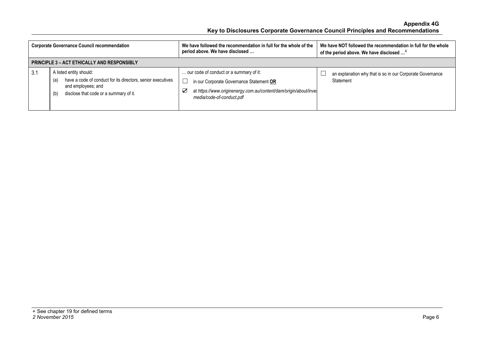| <b>Corporate Governance Council recommendation</b> |                                                                                                                                                                      | We have followed the recommendation in full for the whole of the<br>period above. We have disclosed                                                                                        | We have NOT followed the recommendation in full for the whole<br>of the period above. We have disclosed <sup>4</sup> |
|----------------------------------------------------|----------------------------------------------------------------------------------------------------------------------------------------------------------------------|--------------------------------------------------------------------------------------------------------------------------------------------------------------------------------------------|----------------------------------------------------------------------------------------------------------------------|
|                                                    | <b>PRINCIPLE 3 - ACT ETHICALLY AND RESPONSIBLY</b>                                                                                                                   |                                                                                                                                                                                            |                                                                                                                      |
| 3.1                                                | A listed entity should:<br>have a code of conduct for its directors, senior executives<br>(a)<br>and employees; and<br>disclose that code or a summary of it.<br>(b) | our code of conduct or a summary of it:<br>in our Corporate Governance Statement OR<br>at https://www.originenergy.com.au/content/dam/origin/about/inves<br>Κ<br>media/code-of-conduct.pdf | an explanation why that is so in our Corporate Governance<br>Statement                                               |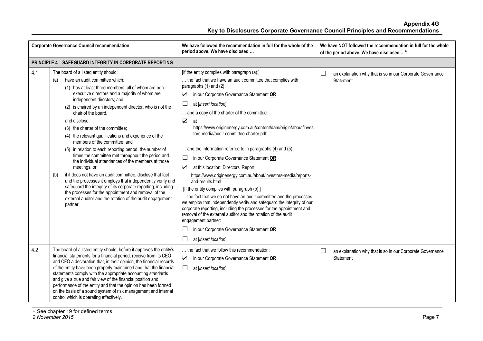| <b>Corporate Governance Council recommendation</b> |                                                                                                                                                                                                                                                                                                                                                                                                                                                                                                                                                                                                                                                                                                                                                                                                                                                                                                                                                                                      | We have followed the recommendation in full for the whole of the<br>period above. We have disclosed                                                                                                                                                                                                                                                                                                                                                                                                                                                                                                                                                                                                                                                                                                                                                                                                                                                                                                                                                                                                               | We have NOT followed the recommendation in full for the whole<br>of the period above. We have disclosed <sup>4</sup> |
|----------------------------------------------------|--------------------------------------------------------------------------------------------------------------------------------------------------------------------------------------------------------------------------------------------------------------------------------------------------------------------------------------------------------------------------------------------------------------------------------------------------------------------------------------------------------------------------------------------------------------------------------------------------------------------------------------------------------------------------------------------------------------------------------------------------------------------------------------------------------------------------------------------------------------------------------------------------------------------------------------------------------------------------------------|-------------------------------------------------------------------------------------------------------------------------------------------------------------------------------------------------------------------------------------------------------------------------------------------------------------------------------------------------------------------------------------------------------------------------------------------------------------------------------------------------------------------------------------------------------------------------------------------------------------------------------------------------------------------------------------------------------------------------------------------------------------------------------------------------------------------------------------------------------------------------------------------------------------------------------------------------------------------------------------------------------------------------------------------------------------------------------------------------------------------|----------------------------------------------------------------------------------------------------------------------|
|                                                    | <b>PRINCIPLE 4 - SAFEGUARD INTEGRITY IN CORPORATE REPORTING</b>                                                                                                                                                                                                                                                                                                                                                                                                                                                                                                                                                                                                                                                                                                                                                                                                                                                                                                                      |                                                                                                                                                                                                                                                                                                                                                                                                                                                                                                                                                                                                                                                                                                                                                                                                                                                                                                                                                                                                                                                                                                                   |                                                                                                                      |
| 4.1                                                | The board of a listed entity should:<br>have an audit committee which:<br>(a)<br>(1) has at least three members, all of whom are non-<br>executive directors and a majority of whom are<br>independent directors; and<br>(2) is chaired by an independent director, who is not the<br>chair of the board,<br>and disclose:<br>(3) the charter of the committee;<br>(4) the relevant qualifications and experience of the<br>members of the committee; and<br>(5) in relation to each reporting period, the number of<br>times the committee met throughout the period and<br>the individual attendances of the members at those<br>meetings; or<br>if it does not have an audit committee, disclose that fact<br>(b)<br>and the processes it employs that independently verify and<br>safeguard the integrity of its corporate reporting, including<br>the processes for the appointment and removal of the<br>external auditor and the rotation of the audit engagement<br>partner. | [If the entity complies with paragraph (a):]<br>the fact that we have an audit committee that complies with<br>paragraphs $(1)$ and $(2)$ :<br>in our Corporate Governance Statement OR<br>☑<br>$\Box$<br>at [insert location]<br>and a copy of the charter of the committee:<br>$\sum$<br>at<br>https://www.originenergy.com.au/content/dam/origin/about/inves<br>tors-media/audit-committee-charter.pdf<br>and the information referred to in paragraphs (4) and (5):<br>$\Box$<br>in our Corporate Governance Statement OR<br>$\sum$<br>at this location: Directors' Report<br>https://www.originenergy.com.au/about/investors-media/reports-<br>and-results.html<br>[If the entity complies with paragraph (b):]<br>the fact that we do not have an audit committee and the processes<br>we employ that independently verify and safeguard the integrity of our<br>corporate reporting, including the processes for the appointment and<br>removal of the external auditor and the rotation of the audit<br>engagement partner:<br>in our Corporate Governance Statement OR<br>$\Box$<br>at [insert location] | $\Box$<br>an explanation why that is so in our Corporate Governance<br>Statement                                     |
| 4.2                                                | The board of a listed entity should, before it approves the entity's<br>financial statements for a financial period, receive from its CEO<br>and CFO a declaration that, in their opinion, the financial records<br>of the entity have been properly maintained and that the financial<br>statements comply with the appropriate accounting standards<br>and give a true and fair view of the financial position and<br>performance of the entity and that the opinion has been formed<br>on the basis of a sound system of risk management and internal<br>control which is operating effectively.                                                                                                                                                                                                                                                                                                                                                                                  | the fact that we follow this recommendation:<br>$\sum$<br>in our Corporate Governance Statement OR<br>$\Box$<br>at [insert location]                                                                                                                                                                                                                                                                                                                                                                                                                                                                                                                                                                                                                                                                                                                                                                                                                                                                                                                                                                              | $\Box$<br>an explanation why that is so in our Corporate Governance<br>Statement                                     |

+ See chapter 19 for defined terms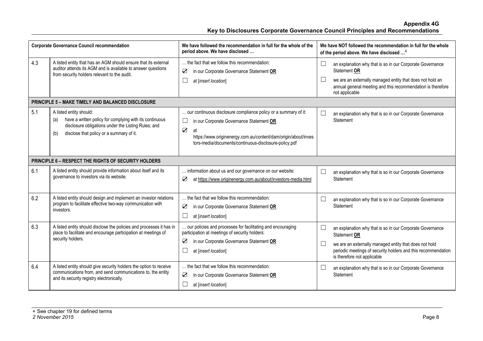| <b>Corporate Governance Council recommendation</b> |                                                                                                                                                                                                     | We have followed the recommendation in full for the whole of the<br>period above. We have disclosed                                                                                                                                                                               |                  | We have NOT followed the recommendation in full for the whole<br>of the period above. We have disclosed <sup>4</sup>                                                                                                                |
|----------------------------------------------------|-----------------------------------------------------------------------------------------------------------------------------------------------------------------------------------------------------|-----------------------------------------------------------------------------------------------------------------------------------------------------------------------------------------------------------------------------------------------------------------------------------|------------------|-------------------------------------------------------------------------------------------------------------------------------------------------------------------------------------------------------------------------------------|
| 4.3                                                | A listed entity that has an AGM should ensure that its external<br>auditor attends its AGM and is available to answer questions<br>from security holders relevant to the audit.                     | the fact that we follow this recommendation:<br>$\triangledown$<br>in our Corporate Governance Statement OR<br>$\Box$<br>at [insert location]                                                                                                                                     | $\Box$<br>$\Box$ | an explanation why that is so in our Corporate Governance<br>Statement OR<br>we are an externally managed entity that does not hold an<br>annual general meeting and this recommendation is therefore<br>not applicable             |
|                                                    | PRINCIPLE 5 - MAKE TIMELY AND BALANCED DISCLOSURE                                                                                                                                                   |                                                                                                                                                                                                                                                                                   |                  |                                                                                                                                                                                                                                     |
| 5.1                                                | A listed entity should:<br>have a written policy for complying with its continuous<br>(a)<br>disclosure obligations under the Listing Rules; and<br>disclose that policy or a summary of it.<br>(b) | our continuous disclosure compliance policy or a summary of it:<br>$\Box$<br>in our Corporate Governance Statement OR<br>$\overline{\mathbf{Z}}$<br>at<br>https://www.originenergy.com.au/content/dam/origin/about/inves<br>tors-media/documents/continuous-disclosure-policy.pdf | $\Box$           | an explanation why that is so in our Corporate Governance<br>Statement                                                                                                                                                              |
|                                                    | <b>PRINCIPLE 6 - RESPECT THE RIGHTS OF SECURITY HOLDERS</b>                                                                                                                                         |                                                                                                                                                                                                                                                                                   |                  |                                                                                                                                                                                                                                     |
| 6.1                                                | A listed entity should provide information about itself and its<br>governance to investors via its website.                                                                                         | information about us and our governance on our website:<br>$\triangledown$<br>at https://www.originenergy.com.au/about/investors-media.html                                                                                                                                       | $\Box$           | an explanation why that is so in our Corporate Governance<br>Statement                                                                                                                                                              |
| 6.2                                                | A listed entity should design and implement an investor relations<br>program to facilitate effective two-way communication with<br>investors.                                                       | the fact that we follow this recommendation:<br>$\triangledown$<br>in our Corporate Governance Statement OR<br>П<br>at [insert location]                                                                                                                                          | $\Box$           | an explanation why that is so in our Corporate Governance<br>Statement                                                                                                                                                              |
| 6.3                                                | A listed entity should disclose the policies and processes it has in<br>place to facilitate and encourage participation at meetings of<br>security holders.                                         | our policies and processes for facilitating and encouraging<br>participation at meetings of security holders:<br>$\triangledown$<br>in our Corporate Governance Statement OR<br>at [insert location]                                                                              | $\Box$<br>$\Box$ | an explanation why that is so in our Corporate Governance<br>Statement OR<br>we are an externally managed entity that does not hold<br>periodic meetings of security holders and this recommendation<br>is therefore not applicable |
| 6.4                                                | A listed entity should give security holders the option to receive<br>communications from, and send communications to, the entity<br>and its security registry electronically.                      | the fact that we follow this recommendation:<br>$\triangledown$<br>in our Corporate Governance Statement OR<br>at [insert location]                                                                                                                                               | $\Box$           | an explanation why that is so in our Corporate Governance<br>Statement                                                                                                                                                              |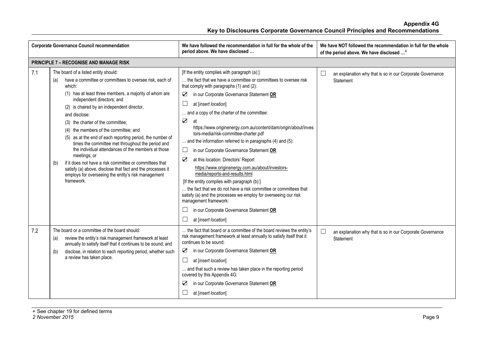|     | <b>Corporate Governance Council recommendation</b>                                                                                                                                                                                                                                                                                                                                                                                                                                                                                                                                                                                                                                                                                                 | We have followed the recommendation in full for the whole of the<br>period above. We have disclosed                                                                                                                                                                                                                                                                                                                                                                                                                                                                                                                                                                                                                                                                                                                                                                                                                                                                              | We have NOT followed the recommendation in full for the whole<br>of the period above. We have disclosed <sup>4</sup> |
|-----|----------------------------------------------------------------------------------------------------------------------------------------------------------------------------------------------------------------------------------------------------------------------------------------------------------------------------------------------------------------------------------------------------------------------------------------------------------------------------------------------------------------------------------------------------------------------------------------------------------------------------------------------------------------------------------------------------------------------------------------------------|----------------------------------------------------------------------------------------------------------------------------------------------------------------------------------------------------------------------------------------------------------------------------------------------------------------------------------------------------------------------------------------------------------------------------------------------------------------------------------------------------------------------------------------------------------------------------------------------------------------------------------------------------------------------------------------------------------------------------------------------------------------------------------------------------------------------------------------------------------------------------------------------------------------------------------------------------------------------------------|----------------------------------------------------------------------------------------------------------------------|
|     | <b>PRINCIPLE 7 - RECOGNISE AND MANAGE RISK</b>                                                                                                                                                                                                                                                                                                                                                                                                                                                                                                                                                                                                                                                                                                     |                                                                                                                                                                                                                                                                                                                                                                                                                                                                                                                                                                                                                                                                                                                                                                                                                                                                                                                                                                                  |                                                                                                                      |
| 7.1 | The board of a listed entity should:<br>have a committee or committees to oversee risk, each of<br>(a)<br>which:<br>(1) has at least three members, a majority of whom are<br>independent directors; and<br>(2) is chaired by an independent director,<br>and disclose:<br>(3) the charter of the committee;<br>(4) the members of the committee; and<br>(5) as at the end of each reporting period, the number of<br>times the committee met throughout the period and<br>the individual attendances of the members at those<br>meetings; or<br>if it does not have a risk committee or committees that<br>(b)<br>satisfy (a) above, disclose that fact and the processes it<br>employs for overseeing the entity's risk management<br>framework. | [If the entity complies with paragraph (a):]<br>the fact that we have a committee or committees to oversee risk<br>that comply with paragraphs (1) and (2):<br>☑<br>in our Corporate Governance Statement OR<br>$\Box$<br>at [insert location]<br>and a copy of the charter of the committee:<br>$\sum$<br>at<br>https://www.originenergy.com.au/content/dam/origin/about/inves<br>tors-media/risk-committee-charter.pdf<br>and the information referred to in paragraphs (4) and (5):<br>in our Corporate Governance Statement OR<br>$\Box$<br>$\triangledown$<br>at this location: Directors' Report<br>https://www.originenergy.com.au/about/investors-<br>media/reports-and-results.html<br>[If the entity complies with paragraph (b):]<br>the fact that we do not have a risk committee or committees that<br>satisfy (a) and the processes we employ for overseeing our risk<br>management framework:<br>in our Corporate Governance Statement OR<br>at [insert location] | $\Box$<br>an explanation why that is so in our Corporate Governance<br><b>Statement</b>                              |
| 7.2 | The board or a committee of the board should:<br>review the entity's risk management framework at least<br>(a)<br>annually to satisfy itself that it continues to be sound; and<br>disclose, in relation to each reporting period, whether such<br>(b)<br>a review has taken place.                                                                                                                                                                                                                                                                                                                                                                                                                                                                | the fact that board or a committee of the board reviews the entity's<br>risk management framework at least annually to satisfy itself that it<br>continues to be sound:<br>in our Corporate Governance Statement OR<br>⊻<br>$\Box$<br>at [insert location]<br>and that such a review has taken place in the reporting period<br>covered by this Appendix 4G:<br>$\boldsymbol{\nabla}$<br>in our Corporate Governance Statement OR<br>at [insert location]                                                                                                                                                                                                                                                                                                                                                                                                                                                                                                                        | $\Box$<br>an explanation why that is so in our Corporate Governance<br><b>Statement</b>                              |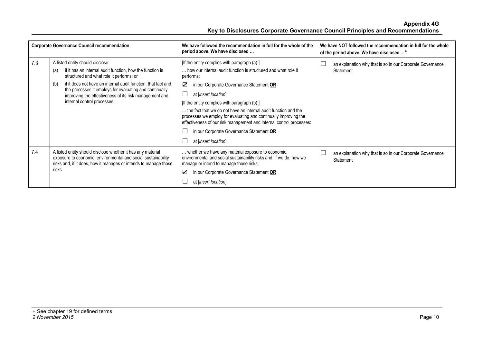|     | <b>Corporate Governance Council recommendation</b>                                                                                                                                                                                                                                                                                                                           | We have followed the recommendation in full for the whole of the<br>period above. We have disclosed                                                                                                                                                                                                                                                                                                                                                                                                                                     | We have NOT followed the recommendation in full for the whole<br>of the period above. We have disclosed <sup>4</sup> |
|-----|------------------------------------------------------------------------------------------------------------------------------------------------------------------------------------------------------------------------------------------------------------------------------------------------------------------------------------------------------------------------------|-----------------------------------------------------------------------------------------------------------------------------------------------------------------------------------------------------------------------------------------------------------------------------------------------------------------------------------------------------------------------------------------------------------------------------------------------------------------------------------------------------------------------------------------|----------------------------------------------------------------------------------------------------------------------|
| 7.3 | A listed entity should disclose:<br>if it has an internal audit function, how the function is<br>(a)<br>structured and what role it performs; or<br>if it does not have an internal audit function, that fact and<br>(b)<br>the processes it employs for evaluating and continually<br>improving the effectiveness of its risk management and<br>internal control processes. | [If the entity complies with paragraph (a):]<br>how our internal audit function is structured and what role it<br>performs:<br>☑<br>in our Corporate Governance Statement OR<br>at [insert location]<br>[If the entity complies with paragraph (b):]<br>the fact that we do not have an internal audit function and the<br>processes we employ for evaluating and continually improving the<br>effectiveness of our risk management and internal control processes:<br>in our Corporate Governance Statement OR<br>at [insert location] | an explanation why that is so in our Corporate Governance<br>Statement                                               |
| 7.4 | A listed entity should disclose whether it has any material<br>exposure to economic, environmental and social sustainability<br>risks and, if it does, how it manages or intends to manage those<br>risks.                                                                                                                                                                   | whether we have any material exposure to economic,<br>environmental and social sustainability risks and, if we do, how we<br>manage or intend to manage those risks:<br>☑<br>in our Corporate Governance Statement OR<br>at [insert location]                                                                                                                                                                                                                                                                                           | an explanation why that is so in our Corporate Governance<br>Statement                                               |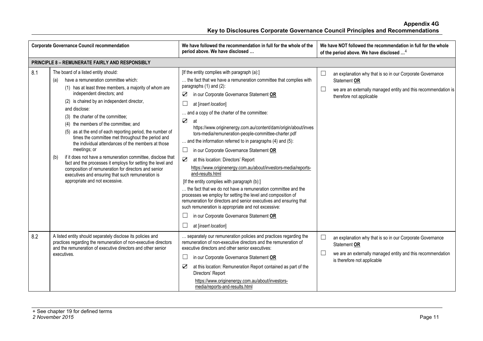| <b>Corporate Governance Council recommendation</b>     |                                                                                                                                                                                                                                                                                                                                                                                                                                                                                                                                                                                                                                                                                                                                                                                                      | We have followed the recommendation in full for the whole of the<br>period above. We have disclosed                                                                                                                                                                                                                                                                                                                                                                                                                                                                                                                                                                                                                                                                                                                                                                                                                                                                                                                                                                                  | We have NOT followed the recommendation in full for the whole<br>of the period above. We have disclosed <sup>4</sup>                                                                   |  |  |
|--------------------------------------------------------|------------------------------------------------------------------------------------------------------------------------------------------------------------------------------------------------------------------------------------------------------------------------------------------------------------------------------------------------------------------------------------------------------------------------------------------------------------------------------------------------------------------------------------------------------------------------------------------------------------------------------------------------------------------------------------------------------------------------------------------------------------------------------------------------------|--------------------------------------------------------------------------------------------------------------------------------------------------------------------------------------------------------------------------------------------------------------------------------------------------------------------------------------------------------------------------------------------------------------------------------------------------------------------------------------------------------------------------------------------------------------------------------------------------------------------------------------------------------------------------------------------------------------------------------------------------------------------------------------------------------------------------------------------------------------------------------------------------------------------------------------------------------------------------------------------------------------------------------------------------------------------------------------|----------------------------------------------------------------------------------------------------------------------------------------------------------------------------------------|--|--|
| <b>PRINCIPLE 8 - REMUNERATE FAIRLY AND RESPONSIBLY</b> |                                                                                                                                                                                                                                                                                                                                                                                                                                                                                                                                                                                                                                                                                                                                                                                                      |                                                                                                                                                                                                                                                                                                                                                                                                                                                                                                                                                                                                                                                                                                                                                                                                                                                                                                                                                                                                                                                                                      |                                                                                                                                                                                        |  |  |
| 8.1                                                    | The board of a listed entity should:<br>have a remuneration committee which:<br>(a)<br>(1) has at least three members, a majority of whom are<br>independent directors; and<br>(2) is chaired by an independent director,<br>and disclose:<br>(3) the charter of the committee;<br>(4) the members of the committee; and<br>(5) as at the end of each reporting period, the number of<br>times the committee met throughout the period and<br>the individual attendances of the members at those<br>meetings; or<br>if it does not have a remuneration committee, disclose that<br>(b)<br>fact and the processes it employs for setting the level and<br>composition of remuneration for directors and senior<br>executives and ensuring that such remuneration is<br>appropriate and not excessive. | [If the entity complies with paragraph (a):]<br>the fact that we have a remuneration committee that complies with<br>paragraphs $(1)$ and $(2)$ :<br>in our Corporate Governance Statement OR<br>☑<br>$\Box$<br>at [insert location]<br>and a copy of the charter of the committee:<br>$\sum$<br>at<br>https://www.originenergy.com.au/content/dam/origin/about/inves<br>tors-media/remuneration-people-committee-charter.pdf<br>and the information referred to in paragraphs (4) and (5):<br>$\Box$<br>in our Corporate Governance Statement OR<br>$\sum$<br>at this location: Directors' Report<br>https://www.originenergy.com.au/about/investors-media/reports-<br>and-results.html<br>[If the entity complies with paragraph (b):]<br>the fact that we do not have a remuneration committee and the<br>processes we employ for setting the level and composition of<br>remuneration for directors and senior executives and ensuring that<br>such remuneration is appropriate and not excessive:<br>in our Corporate Governance Statement OR<br>$\Box$<br>at [insert location] | an explanation why that is so in our Corporate Governance<br>$\Box$<br>Statement OR<br>⊔<br>we are an externally managed entity and this recommendation is<br>therefore not applicable |  |  |
| 8.2                                                    | A listed entity should separately disclose its policies and<br>practices regarding the remuneration of non-executive directors<br>and the remuneration of executive directors and other senior<br>executives.                                                                                                                                                                                                                                                                                                                                                                                                                                                                                                                                                                                        | separately our remuneration policies and practices regarding the<br>remuneration of non-executive directors and the remuneration of<br>executive directors and other senior executives:<br>$\Box$<br>in our Corporate Governance Statement OR<br>☑<br>at this location: Remuneration Report contained as part of the<br>Directors' Report<br>https://www.originenergy.com.au/about/investors-<br>media/reports-and-results.html                                                                                                                                                                                                                                                                                                                                                                                                                                                                                                                                                                                                                                                      | ⊔<br>an explanation why that is so in our Corporate Governance<br>Statement OR<br>$\Box$<br>we are an externally managed entity and this recommendation<br>is therefore not applicable |  |  |